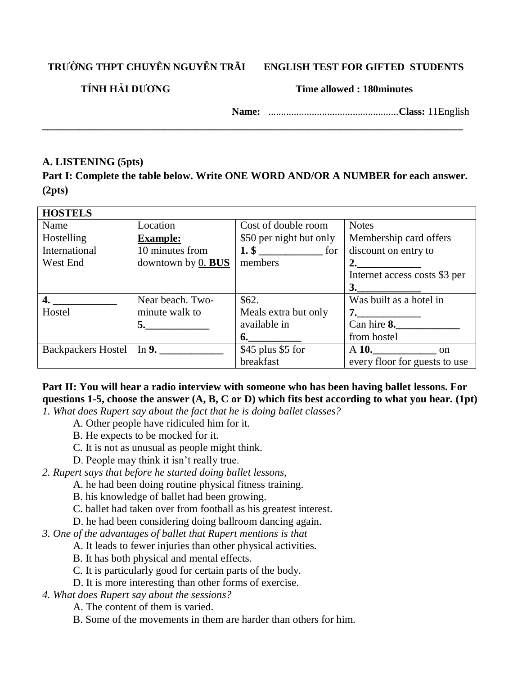## TRƯỜNG THPT CHUYÊN NGUYỄN TRÃI

**ENGLISH TEST FOR GIFTED STUDENTS** 

## TINH HẢI DƯƠNG

**Time allowed: 180minutes** 

## A. LISTENING (5pts)

Part I: Complete the table below. Write ONE WORD AND/OR A NUMBER for each answer.  $(2pts)$ 

| <b>HOSTELS</b>            |                              |                         |                               |
|---------------------------|------------------------------|-------------------------|-------------------------------|
| Name                      | Location                     | Cost of double room     | <b>Notes</b>                  |
| Hostelling                | <b>Example:</b>              | \$50 per night but only | Membership card offers        |
| International             | 10 minutes from              | $1.$ \$ for             | discount on entry to          |
| West End                  | downtown by $0$ . <b>BUS</b> | members                 |                               |
|                           |                              |                         | Internet access costs \$3 per |
|                           |                              |                         | <b>3.</b>                     |
| 4.                        | Near beach. Two-             | \$62.                   | Was built as a hotel in       |
| Hostel                    | minute walk to               | Meals extra but only    | 7. $\qquad \qquad$            |
|                           | 5.                           | available in            | Can hire 8.                   |
|                           |                              | 6.                      | from hostel                   |
| <b>Backpackers Hostel</b> | In $9.$                      | \$45 plus \$5 for       |                               |
|                           |                              | breakfast               | every floor for guests to use |

# Part II: You will hear a radio interview with someone who has been having ballet lessons. For questions 1-5, choose the answer  $(A, B, C \text{ or } D)$  which fits best according to what you hear. (1pt)

1. What does Rupert say about the fact that he is doing ballet classes?

A. Other people have ridiculed him for it.

B. He expects to be mocked for it.

C. It is not as unusual as people might think.

D. People may think it isn't really true.

2. Rupert says that before he started doing ballet lessons,

A. he had been doing routine physical fitness training.

- B. his knowledge of ballet had been growing.
- C. ballet had taken over from football as his greatest interest.
- D. he had been considering doing ballroom dancing again.
- 3. One of the advantages of ballet that Rupert mentions is that
	- A. It leads to fewer injuries than other physical activities.
	- B. It has both physical and mental effects.
	- C. It is particularly good for certain parts of the body.
	- D. It is more interesting than other forms of exercise.
- 4. What does Rupert say about the sessions?
	- A. The content of them is varied.

B. Some of the movements in them are harder than others for him.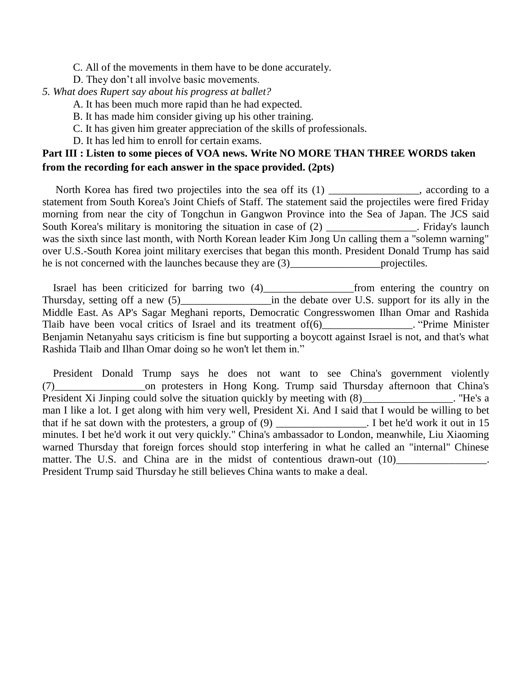C. All of the movements in them have to be done accurately.

D. They don't all involve basic movements.

*5. What does Rupert say about his progress at ballet?*

- A. It has been much more rapid than he had expected.
- B. It has made him consider giving up his other training.
- C. It has given him greater appreciation of the skills of professionals.
- D. It has led him to enroll for certain exams.

## **Part III : Listen to some pieces of VOA news. Write NO MORE THAN THREE WORDS taken from the recording for each answer in the space provided. (2pts)**

North Korea has fired two projectiles into the sea off its (1) \_\_\_\_\_\_\_\_\_\_\_\_\_, according to a statement from South Korea's Joint Chiefs of Staff. The statement said the projectiles were fired Friday morning from near the city of Tongchun in Gangwon Province into the Sea of Japan. The JCS said South Korea's military is monitoring the situation in case of (2) \_\_\_\_\_\_\_\_\_\_\_\_\_\_\_\_. Friday's launch was the sixth since last month, with North Korean leader Kim Jong Un calling them a "solemn warning" over U.S.-South Korea joint military exercises that began this month. President Donald Trump has said he is not concerned with the launches because they are  $(3)$  projectiles.

 Israel has been criticized for barring two (4)\_\_\_\_\_\_\_\_\_\_\_\_\_\_\_\_\_from entering the country on Thursday, setting off a new (5)\_\_\_\_\_\_\_\_\_\_\_\_\_\_\_\_\_in the debate over U.S. support for its ally in the Middle East. As AP's Sagar Meghani reports, Democratic Congresswomen Ilhan Omar and Rashida Tlaib have been vocal critics of Israel and its treatment of(6)\_\_\_\_\_\_\_\_\_\_\_\_\_\_\_\_\_. "Prime Minister Benjamin Netanyahu says criticism is fine but supporting a boycott against Israel is not, and that's what Rashida Tlaib and Ilhan Omar doing so he won't let them in."

 President Donald Trump says he does not want to see China's government violently (7)\_\_\_\_\_\_\_\_\_\_\_\_\_\_\_\_\_on protesters in Hong Kong. Trump said Thursday afternoon that China's President Xi Jinping could solve the situation quickly by meeting with  $(8)$ \_\_\_\_\_\_\_\_\_\_\_\_\_\_\_\_. "He's a man I like a lot. I get along with him very well, President Xi. And I said that I would be willing to bet that if he sat down with the protesters, a group of (9) \_\_\_\_\_\_\_\_\_\_\_\_\_\_\_\_\_. I bet he'd work it out in 15 minutes. I bet he'd work it out very quickly." China's ambassador to London, meanwhile, Liu Xiaoming warned Thursday that foreign forces should stop interfering in what he called an "internal" Chinese matter. The U.S. and China are in the midst of contentious drawn-out (10)\_\_\_\_\_\_\_\_\_\_\_\_\_\_\_. President Trump said Thursday he still believes China wants to make a deal.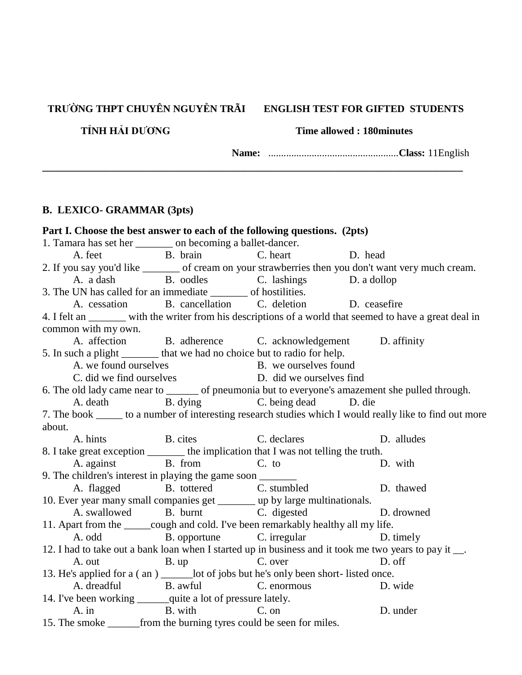#### TRƯỜNG THPT CHUYÊN NGUYỄN TRÃI

#### **ENGLISH TEST FOR GIFTED STUDENTS**

TINH HẢI DƯƠNG

#### Time allowed: 180minutes

#### **B. LEXICO- GRAMMAR (3pts)**

Part I. Choose the best answer to each of the following questions. (2pts) 1. Tamara has set her \_\_\_\_\_\_\_\_\_ on becoming a ballet-dancer. B. brain A. feet C. heart D. head 2. If you say you'd like \_\_\_\_\_\_\_\_ of cream on your strawberries then you don't want very much cream. B. oodles C. lashings A. a dash D. a dollop 3. The UN has called for an immediate \_\_\_\_\_\_\_\_ of hostilities. C. deletion A. cessation B. cancellation D. ceasefire 4. I felt an \_\_\_\_\_\_ with the writer from his descriptions of a world that seemed to have a great deal in common with my own. A. affection B. adherence C. acknowledgement D. affinity 5. In such a plight that we had no choice but to radio for help. A. we found ourselves B. we ourselves found C, did we find ourselves D. did we ourselves find 6. The old lady came near to \_\_\_\_\_\_\_ of pneumonia but to everyone's amazement she pulled through. A. death B. dying C. being dead D. die 7. The book \_\_\_\_\_\_ to a number of interesting research studies which I would really like to find out more about. A hints C. declares D. alludes B. cites 8. I take great exception the implication that I was not telling the truth. B. from A. against  $C.$  to D. with 9. The children's interest in playing the game soon B. tottered C. stumbled A. flagged D. thawed 10. Ever year many small companies get \_\_\_\_\_\_\_ up by large multinationals. A. swallowed B. burnt C. digested D. drowned 11. Apart from the \_\_\_\_\_cough and cold. I've been remarkably healthy all my life. A. odd B. opportune C. irregular D. timely 12. I had to take out a bank loan when I started up in business and it took me two years to pay it \_\_. C. over D. off A. out  $B. up$ 13. He's applied for a (an) \_\_\_\_\_\_\_\_\_\_ lot of jobs but he's only been short-listed once. A. dreadful B. awful C. enormous D. wide 14. I've been working \_\_\_\_\_\_quite a lot of pressure lately.  $A.$  in B. with  $C.$  on D. under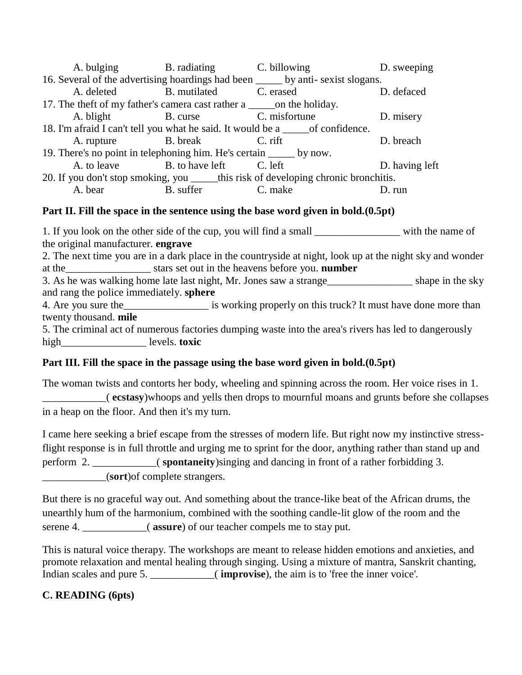|                                                                                       |                   | A. bulging B. radiating C. billowing | D. sweeping    |  |
|---------------------------------------------------------------------------------------|-------------------|--------------------------------------|----------------|--|
| 16. Several of the advertising hoardings had been _____ by anti-sexist slogans.       |                   |                                      |                |  |
| A. deleted B. mutilated C. erased                                                     |                   |                                      | D. defaced     |  |
| 17. The theft of my father's camera cast rather a second the holiday.                 |                   |                                      |                |  |
|                                                                                       |                   | A. blight B. curse C. misfortune     | D. misery      |  |
| 18. I'm afraid I can't tell you what he said. It would be a ______ of confidence.     |                   |                                      |                |  |
| A. rupture B. break C. rift                                                           |                   |                                      | D. breach      |  |
| 19. There's no point in telephoning him. He's certain ______ by now.                  |                   |                                      |                |  |
| A. to leave B. to have left C. left                                                   |                   |                                      | D. having left |  |
| 20. If you don't stop smoking, you ______ this risk of developing chronic bronchitis. |                   |                                      |                |  |
| A. bear                                                                               | B. suffer C. make |                                      | D. run         |  |

## **Part II. Fill the space in the sentence using the base word given in bold.(0.5pt)**

1. If you look on the other side of the cup, you will find a small with the name of the original manufacturer. **engrave** 2. The next time you are in a dark place in the countryside at night, look up at the night sky and wonder at the\_\_\_\_\_\_\_\_\_\_\_\_\_\_\_\_ stars set out in the heavens before you. **number** 3. As he was walking home late last night, Mr. Jones saw a strange shape in the sky and rang the police immediately. **sphere** 4. Are you sure the is working properly on this truck? It must have done more than twenty thousand. **mile** 5. The criminal act of numerous factories dumping waste into the area's rivers has led to dangerously high\_\_\_\_\_\_\_\_\_\_\_\_\_\_\_\_ levels. **toxic**

## **Part III. Fill the space in the passage using the base word given in bold.(0.5pt)**

The woman twists and contorts her body, wheeling and spinning across the room. Her voice rises in 1. \_\_\_\_\_\_\_\_\_\_\_\_( **ecstasy**)whoops and yells then drops to mournful moans and grunts before she collapses in a heap on the floor. And then it's my turn.

I came here seeking a brief escape from the stresses of modern life. But right now my instinctive stressflight response is in full throttle and urging me to sprint for the door, anything rather than stand up and perform 2. \_\_\_\_\_\_\_\_\_\_\_\_( **spontaneity**)singing and dancing in front of a rather forbidding 3. \_\_\_\_\_\_\_\_\_\_\_\_(**sort**)of complete strangers.

But there is no graceful way out. And something about the trance-like beat of the African drums, the unearthly hum of the harmonium, combined with the soothing candle-lit glow of the room and the serene 4. \_\_\_\_\_\_\_\_\_\_\_\_( **assure**) of our teacher compels me to stay put.

This is natural voice therapy. The workshops are meant to release hidden emotions and anxieties, and promote relaxation and mental healing through singing. Using a mixture of mantra, Sanskrit chanting, Indian scales and pure 5. \_\_\_\_\_\_\_\_\_\_\_\_( **improvise**), the aim is to 'free the inner voice'.

## **C. READING (6pts)**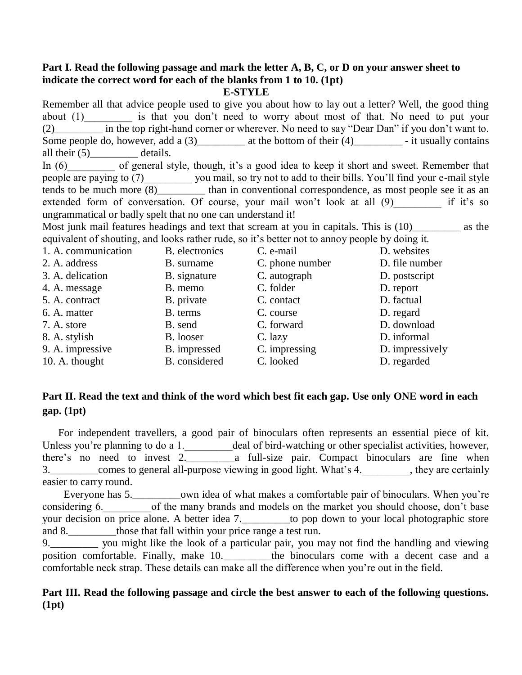# **Part I. Read the following passage and mark the letter A, B, C, or D on your answer sheet to indicate the correct word for each of the blanks from 1 to 10. (1pt) E-STYLE**

| Remember all that advice people used to give you about how to lay out a letter? Well, the good thing           |                            |                                                                                                       |                 |  |  |
|----------------------------------------------------------------------------------------------------------------|----------------------------|-------------------------------------------------------------------------------------------------------|-----------------|--|--|
|                                                                                                                |                            | about (1) is that you don't need to worry about most of that. No need to put your                     |                 |  |  |
| (2) in the top right-hand corner or wherever. No need to say "Dear Dan" if you don't want to.                  |                            |                                                                                                       |                 |  |  |
| Some people do, however, add a $(3)$ at the bottom of their $(4)$ $\ldots$ - it usually contains               |                            |                                                                                                       |                 |  |  |
| all their $(5)$ details.                                                                                       |                            |                                                                                                       |                 |  |  |
|                                                                                                                |                            | In (6) of general style, though, it's a good idea to keep it short and sweet. Remember that           |                 |  |  |
| people are paying to (7) ___________ you mail, so try not to add to their bills. You'll find your e-mail style |                            |                                                                                                       |                 |  |  |
|                                                                                                                |                            | tends to be much more (8)___________ than in conventional correspondence, as most people see it as an |                 |  |  |
| extended form of conversation. Of course, your mail won't look at all (9) if it's so                           |                            |                                                                                                       |                 |  |  |
| ungrammatical or badly spelt that no one can understand it!                                                    |                            |                                                                                                       |                 |  |  |
| Most junk mail features headings and text that scream at you in capitals. This is (10)________ as the          |                            |                                                                                                       |                 |  |  |
| equivalent of shouting, and looks rather rude, so it's better not to annoy people by doing it.                 |                            |                                                                                                       |                 |  |  |
| 1. A. communication                                                                                            | B. electronics             | C. e-mail                                                                                             | D. websites     |  |  |
| 2. A. address                                                                                                  |                            | B. surname C. phone number                                                                            | D. file number  |  |  |
| 3. A. delication                                                                                               | B. signature C. autograph  |                                                                                                       | D. postscript   |  |  |
| 4. A. message                                                                                                  | B. memo                    | C. folder                                                                                             | D. report       |  |  |
| 5. A. contract                                                                                                 | B. private C. contact      |                                                                                                       | D. factual      |  |  |
| 6. A. matter                                                                                                   | B. terms                   | C. course                                                                                             | D. regard       |  |  |
| 7. A. store                                                                                                    | B. send                    | C. forward                                                                                            | D. download     |  |  |
| 8. A. stylish                                                                                                  | B. looser                  | C. lazy                                                                                               | D. informal     |  |  |
| 9. A. impressive                                                                                               | B. impressed C. impressing |                                                                                                       | D. impressively |  |  |
| 10. A. thought                                                                                                 | B. considered              | C. looked                                                                                             | D. regarded     |  |  |
|                                                                                                                |                            |                                                                                                       |                 |  |  |

## **Part II. Read the text and think of the word which best fit each gap. Use only ONE word in each gap. (1pt)**

 For independent travellers, a good pair of binoculars often represents an essential piece of kit. Unless you're planning to do a 1.\_\_\_\_\_\_\_\_deal of bird-watching or other specialist activities, however, there's no need to invest 2.\_\_\_\_\_\_\_\_\_a full-size pair. Compact binoculars are fine when 3. Comes to general all-purpose viewing in good light. What's 4. , they are certainly easier to carry round.

Everyone has 5.\_\_\_\_\_\_\_\_\_\_own idea of what makes a comfortable pair of binoculars. When you're considering 6. The of the many brands and models on the market you should choose, don't base your decision on price alone. A better idea 7.\_\_\_\_\_\_\_\_\_to pop down to your local photographic store and 8.\_\_\_\_\_\_\_\_\_those that fall within your price range a test run.

9.\_\_\_\_\_\_\_\_\_ you might like the look of a particular pair, you may not find the handling and viewing position comfortable. Finally, make 10.\_\_\_\_\_\_\_\_\_the binoculars come with a decent case and a comfortable neck strap. These details can make all the difference when you're out in the field.

## **Part III. Read the following passage and circle the best answer to each of the following questions. (1pt)**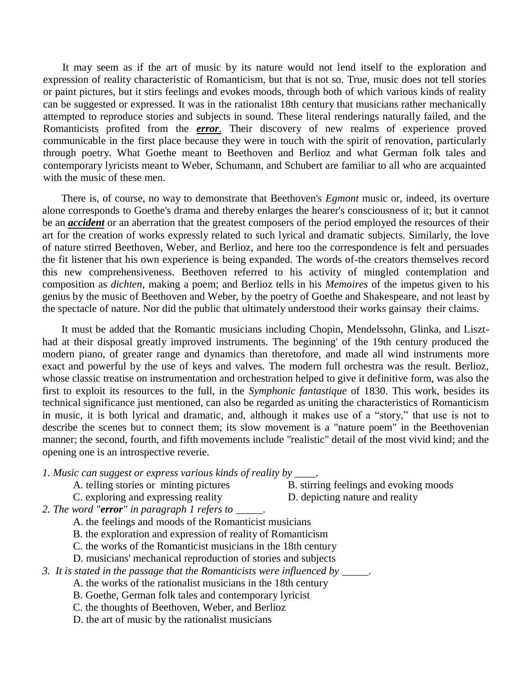It may seem as if the art of music by its nature would not lend itself to the exploration and expression of reality characteristic of Romanticism, but that is not so. True, music does not tell stories or paint pictures, but it stirs feelings and evokes moods, through both of which various kinds of reality can be suggested or expressed. It was in the rationalist 18th century that musicians rather mechanically attempted to reproduce stories and subjects in sound. These literal renderings naturally failed, and the Romanticists profited from the *error*. Their discovery of new realms of experience proved communicable in the first place because they were in touch with the spirit of renovation, particularly through poetry. What Goethe meant to Beethoven and Berlioz and what German folk tales and contemporary lyricists meant to Weber, Schumann, and Schubert are familiar to all who are acquainted with the music of these men.

There is, of course, no way to demonstrate that Beethoven's *Egmont* music or, indeed, its overture alone corresponds to Goethe's drama and thereby enlarges the hearer's consciousness of it; but it cannot be an *accident* or an aberration that the greatest composers of the period employed the resources of their art for the creation of works expressly related to such lyrical and dramatic subjects. Similarly, the love of nature stirred Beethoven, Weber, and Berlioz, and here too the correspondence is felt and persuades the fit listener that his own experience is being expanded. The words of-the creators themselves record this new comprehensiveness. Beethoven referred to his activity of mingled contemplation and composition as *dichten*, making a poem; and Berlioz tells in his *Memoires* of the impetus given to his genius by the music of Beethoven and Weber, by the poetry of Goethe and Shakespeare, and not least by the spectacle of nature. Nor did the public that ultimately understood their works gainsay their claims.

It must be added that the Romantic musicians including Chopin, Mendelssohn, Glinka, and Liszthad at their disposal greatly improved instruments. The beginning' of the 19th century produced the modern piano, of greater range and dynamics than theretofore, and made all wind instruments more exact and powerful by the use of keys and valves. The modern full orchestra was the result. Berlioz, whose classic treatise on instrumentation and orchestration helped to give it definitive form, was also the first to exploit its resources to the full, in the *Symphonic fantastique* of 1830. This work, besides its technical significance just mentioned, can also be regarded as uniting the characteristics of Romanticism in music, it is both lyrical and dramatic, and, although it makes use of a "story," that use is not to describe the scenes but to connect them; its slow movement is a "nature poem" in the Beethovenian manner; the second, fourth, and fifth movements include "realistic" detail of the most vivid kind; and the opening one is an introspective reverie.

*1. Music can suggest or express various kinds of reality by \_\_\_\_.*

- A. telling stories or minting pictures B. stirring feelings and evoking moods
- 
- 
- C. exploring and expressing reality D. depicting nature and reality
- 

*2. The word "error" in paragraph 1 refers to* \_\_\_\_\_.

- A. the feelings and moods of the Romanticist musicians
- B. the exploration and expression of reality of Romanticism
- C. the works of the Romanticist musicians in the 18th century
- D. musicians' mechanical reproduction of stories and subjects
- *3. It is stated in the passage that the Romanticists were influenced by* \_\_\_\_\_.
	- A. the works of the rationalist musicians in the 18th century
	- B. Goethe, German folk tales and contemporary lyricist
	- C. the thoughts of Beethoven, Weber, and Berlioz
	- D. the art of music by the rationalist musicians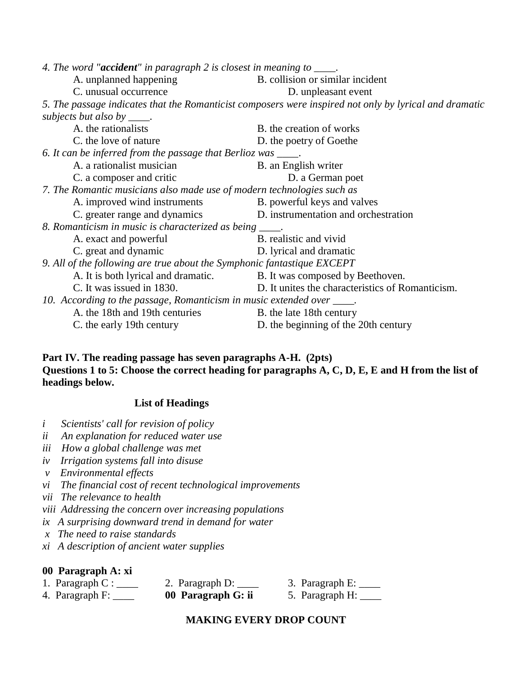| 4. The word " <b>accident</b> " in paragraph 2 is closest in meaning to $\frac{1}{1}$ .                |                                                  |  |  |  |
|--------------------------------------------------------------------------------------------------------|--------------------------------------------------|--|--|--|
| A. unplanned happening                                                                                 | B. collision or similar incident                 |  |  |  |
| C. unusual occurrence                                                                                  | D. unpleasant event                              |  |  |  |
| 5. The passage indicates that the Romanticist composers were inspired not only by lyrical and dramatic |                                                  |  |  |  |
| subjects but also by $\rule{1em}{0.15mm}$ .                                                            |                                                  |  |  |  |
| A. the rationalists                                                                                    | B. the creation of works                         |  |  |  |
| C. the love of nature                                                                                  | D. the poetry of Goethe                          |  |  |  |
| 6. It can be inferred from the passage that Berlioz was $\frac{1}{\sqrt{1-\frac{1}{n}}}$ .             |                                                  |  |  |  |
| A. a rationalist musician                                                                              | B. an English writer                             |  |  |  |
| C. a composer and critic                                                                               | D. a German poet                                 |  |  |  |
| 7. The Romantic musicians also made use of modern technologies such as                                 |                                                  |  |  |  |
| A. improved wind instruments B. powerful keys and valves                                               |                                                  |  |  |  |
| C. greater range and dynamics D. instrumentation and orchestration                                     |                                                  |  |  |  |
| 8. Romanticism in music is characterized as being ____.                                                |                                                  |  |  |  |
| A. exact and powerful                                                                                  | B. realistic and vivid                           |  |  |  |
| C. great and dynamic                                                                                   | D. lyrical and dramatic                          |  |  |  |
| 9. All of the following are true about the Symphonic fantastique EXCEPT                                |                                                  |  |  |  |
| A. It is both lyrical and dramatic. B. It was composed by Beethoven.                                   |                                                  |  |  |  |
| C. It was issued in 1830.                                                                              | D. It unites the characteristics of Romanticism. |  |  |  |
| 10. According to the passage, Romanticism in music extended over ____.                                 |                                                  |  |  |  |
| A. the 18th and 19th centuries                                                                         | B. the late 18th century                         |  |  |  |
| C. the early 19th century                                                                              | D. the beginning of the 20th century             |  |  |  |

### **Part IV. The reading passage has seven paragraphs A-H. (2pts) Questions 1 to 5: Choose the correct heading for paragraphs A, C, D, E, E and H from the list of headings below.**

## **List of Headings**

- *i Scientists' call for revision of policy*
- *ii An explanation for reduced water use*
- *iii How a global challenge was met*
- *iv Irrigation systems fall into disuse*
- *v Environmental effects*
- *vi The financial cost of recent technological improvements*
- *vii The relevance to health*
- *viii Addressing the concern over increasing populations*
- *ix A surprising downward trend in demand for water*
- *x The need to raise standards*
- *xi A description of ancient water supplies*

#### **00 Paragraph A: xi**

- 1. Paragraph C : \_\_\_\_ 2. Paragraph D: \_\_\_\_ 3. Paragraph E: \_\_\_
	-
- 4. Paragraph F: \_\_\_\_ **00 Paragraph G: ii** 5. Paragraph H: \_\_\_\_
- 

#### **MAKING EVERY DROP COUNT**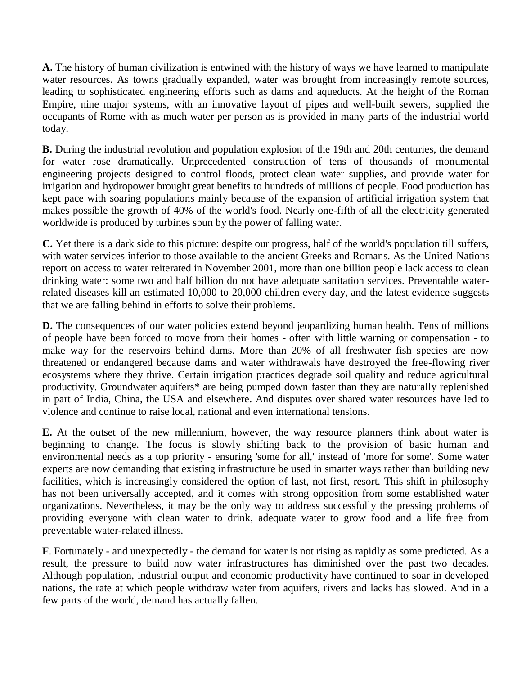**A.** The history of human civilization is entwined with the history of ways we have learned to manipulate water resources. As towns gradually expanded, water was brought from increasingly remote sources, leading to sophisticated engineering efforts such as dams and aqueducts. At the height of the Roman Empire, nine major systems, with an innovative layout of pipes and well-built sewers, supplied the occupants of Rome with as much water per person as is provided in many parts of the industrial world today.

**B.** During the industrial revolution and population explosion of the 19th and 20th centuries, the demand for water rose dramatically. Unprecedented construction of tens of thousands of monumental engineering projects designed to control floods, protect clean water supplies, and provide water for irrigation and hydropower brought great benefits to hundreds of millions of people. Food production has kept pace with soaring populations mainly because of the expansion of artificial irrigation system that makes possible the growth of 40% of the world's food. Nearly one-fifth of all the electricity generated worldwide is produced by turbines spun by the power of falling water.

**C.** Yet there is a dark side to this picture: despite our progress, half of the world's population till suffers, with water services inferior to those available to the ancient Greeks and Romans. As the United Nations report on access to water reiterated in November 2001, more than one billion people lack access to clean drinking water: some two and half billion do not have adequate sanitation services. Preventable waterrelated diseases kill an estimated 10,000 to 20,000 children every day, and the latest evidence suggests that we are falling behind in efforts to solve their problems.

**D.** The consequences of our water policies extend beyond jeopardizing human health. Tens of millions of people have been forced to move from their homes - often with little warning or compensation - to make way for the reservoirs behind dams. More than 20% of all freshwater fish species are now threatened or endangered because dams and water withdrawals have destroyed the free-flowing river ecosystems where they thrive. Certain irrigation practices degrade soil quality and reduce agricultural productivity. Groundwater aquifers\* are being pumped down faster than they are naturally replenished in part of India, China, the USA and elsewhere. And disputes over shared water resources have led to violence and continue to raise local, national and even international tensions.

**E.** At the outset of the new millennium, however, the way resource planners think about water is beginning to change. The focus is slowly shifting back to the provision of basic human and environmental needs as a top priority - ensuring 'some for all,' instead of 'more for some'. Some water experts are now demanding that existing infrastructure be used in smarter ways rather than building new facilities, which is increasingly considered the option of last, not first, resort. This shift in philosophy has not been universally accepted, and it comes with strong opposition from some established water organizations. Nevertheless, it may be the only way to address successfully the pressing problems of providing everyone with clean water to drink, adequate water to grow food and a life free from preventable water-related illness.

**F**. Fortunately - and unexpectedly - the demand for water is not rising as rapidly as some predicted. As a result, the pressure to build now water infrastructures has diminished over the past two decades. Although population, industrial output and economic productivity have continued to soar in developed nations, the rate at which people withdraw water from aquifers, rivers and lacks has slowed. And in a few parts of the world, demand has actually fallen.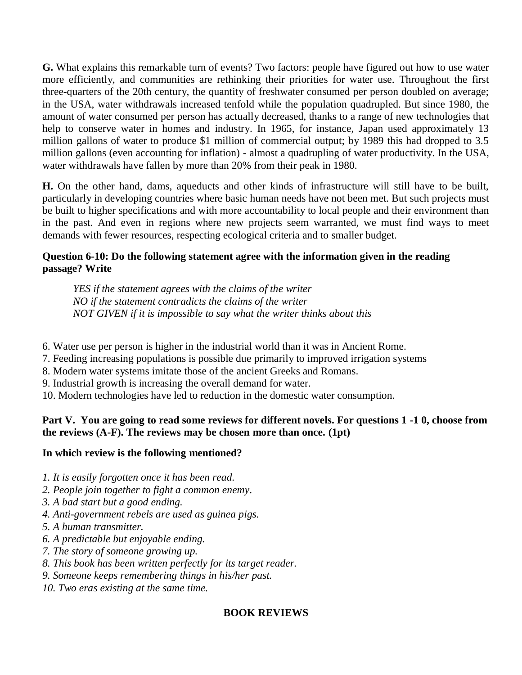**G.** What explains this remarkable turn of events? Two factors: people have figured out how to use water more efficiently, and communities are rethinking their priorities for water use. Throughout the first three-quarters of the 20th century, the quantity of freshwater consumed per person doubled on average; in the USA, water withdrawals increased tenfold while the population quadrupled. But since 1980, the amount of water consumed per person has actually decreased, thanks to a range of new technologies that help to conserve water in homes and industry. In 1965, for instance, Japan used approximately 13 million gallons of water to produce \$1 million of commercial output; by 1989 this had dropped to 3.5 million gallons (even accounting for inflation) - almost a quadrupling of water productivity. In the USA, water withdrawals have fallen by more than 20% from their peak in 1980.

**H.** On the other hand, dams, aqueducts and other kinds of infrastructure will still have to be built, particularly in developing countries where basic human needs have not been met. But such projects must be built to higher specifications and with more accountability to local people and their environment than in the past. And even in regions where new projects seem warranted, we must find ways to meet demands with fewer resources, respecting ecological criteria and to smaller budget.

### **Question 6-10: Do the following statement agree with the information given in the reading passage? Write**

*YES if the statement agrees with the claims of the writer NO if the statement contradicts the claims of the writer NOT GIVEN if it is impossible to say what the writer thinks about this*

- 6. Water use per person is higher in the industrial world than it was in Ancient Rome.
- 7. Feeding increasing populations is possible due primarily to improved irrigation systems
- 8. Modern water systems imitate those of the ancient Greeks and Romans.
- 9. Industrial growth is increasing the overall demand for water.
- 10. Modern technologies have led to reduction in the domestic water consumption.

## **Part V. You are going to read some reviews for different novels. For questions 1 -1 0, choose from the reviews (A-F). The reviews may be chosen more than once. (1pt)**

## **In which review is the following mentioned?**

- *1. It is easily forgotten once it has been read.*
- *2. People join together to fight a common enemy.*
- *3. A bad start but a good ending.*
- *4. Anti-government rebels are used as guinea pigs.*
- *5. A human transmitter.*
- *6. A predictable but enjoyable ending.*
- *7. The story of someone growing up.*
- *8. This book has been written perfectly for its target reader.*
- *9. Someone keeps remembering things in his/her past.*
- *10. Two eras existing at the same time.*

## **BOOK REVIEWS**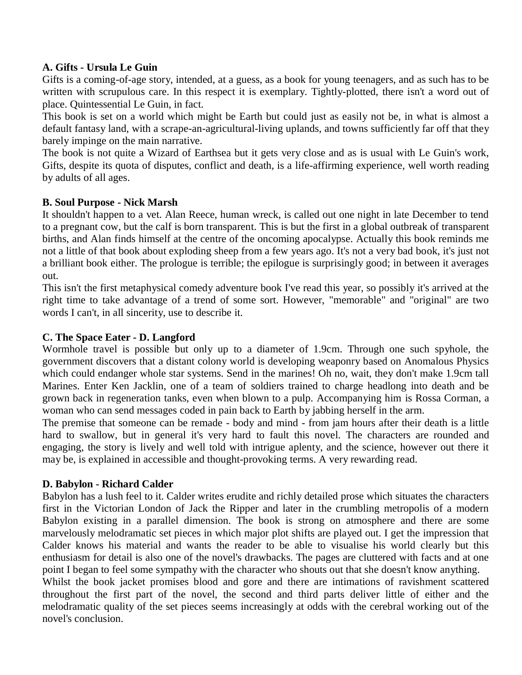#### **A. Gifts - Ursula Le Guin**

Gifts is a coming-of-age story, intended, at a guess, as a book for young teenagers, and as such has to be written with scrupulous care. In this respect it is exemplary. Tightly-plotted, there isn't a word out of place. Quintessential Le Guin, in fact.

This book is set on a world which might be Earth but could just as easily not be, in what is almost a default fantasy land, with a scrape-an-agricultural-living uplands, and towns sufficiently far off that they barely impinge on the main narrative.

The book is not quite a Wizard of Earthsea but it gets very close and as is usual with Le Guin's work, Gifts, despite its quota of disputes, conflict and death, is a life-affirming experience, well worth reading by adults of all ages.

### **B. Soul Purpose - Nick Marsh**

It shouldn't happen to a vet. Alan Reece, human wreck, is called out one night in late December to tend to a pregnant cow, but the calf is born transparent. This is but the first in a global outbreak of transparent births, and Alan finds himself at the centre of the oncoming apocalypse. Actually this book reminds me not a little of that book about exploding sheep from a few years ago. It's not a very bad book, it's just not a brilliant book either. The prologue is terrible; the epilogue is surprisingly good; in between it averages out.

This isn't the first metaphysical comedy adventure book I've read this year, so possibly it's arrived at the right time to take advantage of a trend of some sort. However, "memorable" and "original" are two words I can't, in all sincerity, use to describe it.

#### **C. The Space Eater - D. Langford**

Wormhole travel is possible but only up to a diameter of 1.9cm. Through one such spyhole, the government discovers that a distant colony world is developing weaponry based on Anomalous Physics which could endanger whole star systems. Send in the marines! Oh no, wait, they don't make 1.9cm tall Marines. Enter Ken Jacklin, one of a team of soldiers trained to charge headlong into death and be grown back in regeneration tanks, even when blown to a pulp. Accompanying him is Rossa Corman, a woman who can send messages coded in pain back to Earth by jabbing herself in the arm.

The premise that someone can be remade - body and mind - from jam hours after their death is a little hard to swallow, but in general it's very hard to fault this novel. The characters are rounded and engaging, the story is lively and well told with intrigue aplenty, and the science, however out there it may be, is explained in accessible and thought-provoking terms. A very rewarding read.

#### **D. Babylon - Richard Calder**

Babylon has a lush feel to it. Calder writes erudite and richly detailed prose which situates the characters first in the Victorian London of Jack the Ripper and later in the crumbling metropolis of a modern Babylon existing in a parallel dimension. The book is strong on atmosphere and there are some marvelously melodramatic set pieces in which major plot shifts are played out. I get the impression that Calder knows his material and wants the reader to be able to visualise his world clearly but this enthusiasm for detail is also one of the novel's drawbacks. The pages are cluttered with facts and at one point I began to feel some sympathy with the character who shouts out that she doesn't know anything.

Whilst the book jacket promises blood and gore and there are intimations of ravishment scattered throughout the first part of the novel, the second and third parts deliver little of either and the melodramatic quality of the set pieces seems increasingly at odds with the cerebral working out of the novel's conclusion.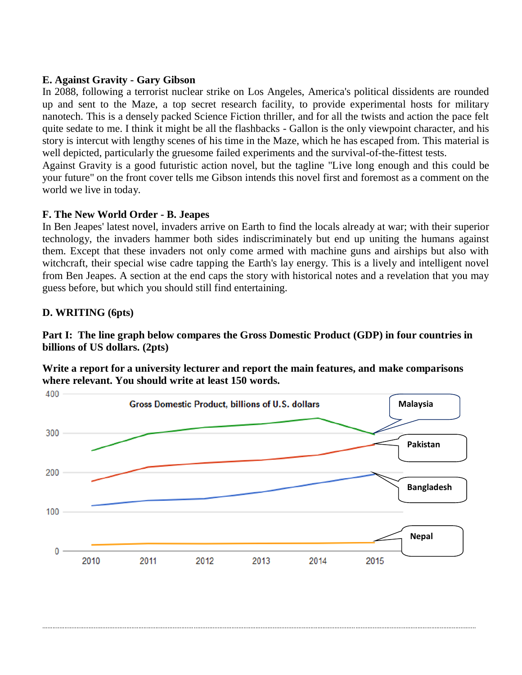### **E. Against Gravity - Gary Gibson**

In 2088, following a terrorist nuclear strike on Los Angeles, America's political dissidents are rounded up and sent to the Maze, a top secret research facility, to provide experimental hosts for military nanotech. This is a densely packed Science Fiction thriller, and for all the twists and action the pace felt quite sedate to me. I think it might be all the flashbacks - Gallon is the only viewpoint character, and his story is intercut with lengthy scenes of his time in the Maze, which he has escaped from. This material is well depicted, particularly the gruesome failed experiments and the survival-of-the-fittest tests. Against Gravity is a good futuristic action novel, but the tagline "Live long enough and this could be your future" on the front cover tells me Gibson intends this novel first and foremost as a comment on the

world we live in today.

### **F. The New World Order - B. Jeapes**

In Ben Jeapes' latest novel, invaders arrive on Earth to find the locals already at war; with their superior technology, the invaders hammer both sides indiscriminately but end up uniting the humans against them. Except that these invaders not only come armed with machine guns and airships but also with witchcraft, their special wise cadre tapping the Earth's lay energy. This is a lively and intelligent novel from Ben Jeapes. A section at the end caps the story with historical notes and a revelation that you may guess before, but which you should still find entertaining.

### **D. WRITING (6pts)**

### **Part I: The line graph below compares the Gross Domestic Product (GDP) in four countries in billions of US dollars. (2pts)**

**Write a report for a university lecturer and report the main features, and make comparisons where relevant. You should write at least 150 words.**



............................................................................................................................................................................................................................................................